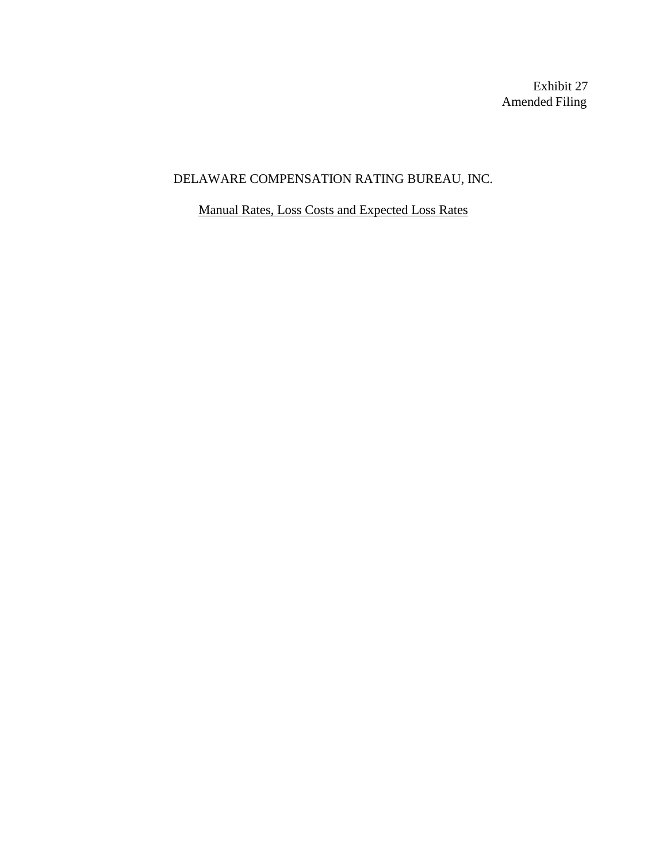Exhibit 27 Amended Filing

# DELAWARE COMPENSATION RATING BUREAU, INC.

Manual Rates, Loss Costs and Expected Loss Rates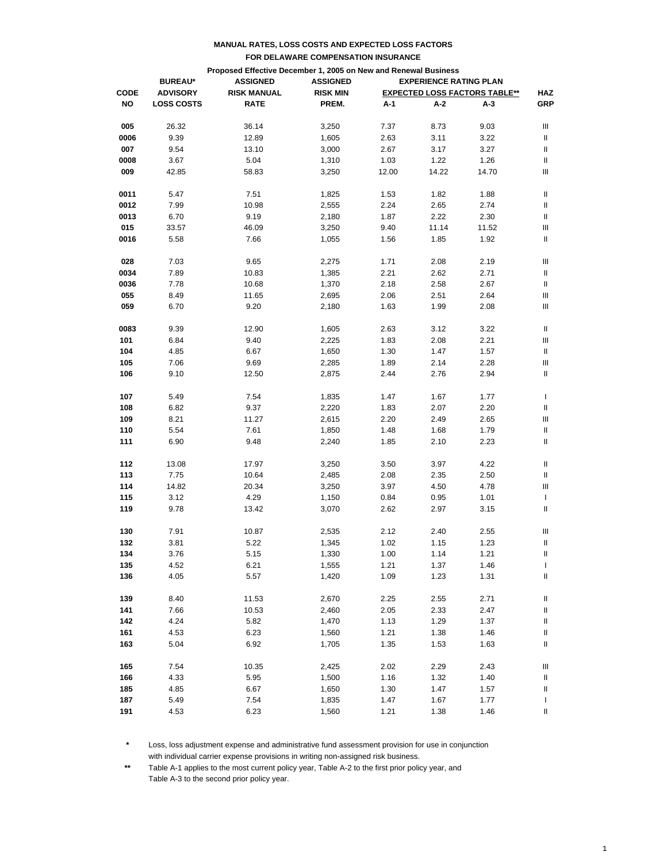|             | Proposed Effective December 1, 2005 on New and Renewal Business                       |                    |                 |       |       |                                      |                |  |  |
|-------------|---------------------------------------------------------------------------------------|--------------------|-----------------|-------|-------|--------------------------------------|----------------|--|--|
|             | <b>ASSIGNED</b><br><b>EXPERIENCE RATING PLAN</b><br><b>BUREAU*</b><br><b>ASSIGNED</b> |                    |                 |       |       |                                      |                |  |  |
| <b>CODE</b> | <b>ADVISORY</b>                                                                       | <b>RISK MANUAL</b> | <b>RISK MIN</b> |       |       | <b>EXPECTED LOSS FACTORS TABLE**</b> | <b>HAZ</b>     |  |  |
| NO          | <b>LOSS COSTS</b>                                                                     | <b>RATE</b>        | PREM.           | A-1   | A-2   | A-3                                  | <b>GRP</b>     |  |  |
|             |                                                                                       |                    |                 |       |       |                                      |                |  |  |
| 005         | 26.32                                                                                 | 36.14              | 3,250           | 7.37  | 8.73  | 9.03                                 | Ш              |  |  |
| 0006        | 9.39                                                                                  | 12.89              | 1,605           | 2.63  | 3.11  | 3.22                                 | Ш              |  |  |
| 007         | 9.54                                                                                  | 13.10              | 3,000           | 2.67  | 3.17  | 3.27                                 | Ш              |  |  |
| 0008        | 3.67                                                                                  | 5.04               | 1,310           | 1.03  | 1.22  | 1.26                                 | Ш              |  |  |
| 009         | 42.85                                                                                 | 58.83              | 3,250           | 12.00 | 14.22 | 14.70                                | Ш              |  |  |
| 0011        | 5.47                                                                                  | 7.51               | 1,825           | 1.53  | 1.82  | 1.88                                 | Ш              |  |  |
| 0012        | 7.99                                                                                  | 10.98              | 2,555           | 2.24  | 2.65  | 2.74                                 | Ш              |  |  |
| 0013        | 6.70                                                                                  | 9.19               | 2,180           | 1.87  | 2.22  | 2.30                                 | Ш              |  |  |
| 015         |                                                                                       |                    |                 |       | 11.14 |                                      | Ш              |  |  |
|             | 33.57                                                                                 | 46.09              | 3,250           | 9.40  |       | 11.52                                |                |  |  |
| 0016        | 5.58                                                                                  | 7.66               | 1,055           | 1.56  | 1.85  | 1.92                                 | Ш              |  |  |
| 028         | 7.03                                                                                  | 9.65               | 2,275           | 1.71  | 2.08  | 2.19                                 | Ш              |  |  |
| 0034        | 7.89                                                                                  | 10.83              | 1,385           | 2.21  | 2.62  | 2.71                                 | Ш              |  |  |
| 0036        | 7.78                                                                                  | 10.68              | 1,370           | 2.18  | 2.58  | 2.67                                 | Ш              |  |  |
| 055         | 8.49                                                                                  | 11.65              | 2,695           | 2.06  | 2.51  | 2.64                                 | Ш              |  |  |
| 059         | 6.70                                                                                  | 9.20               | 2,180           | 1.63  | 1.99  | 2.08                                 | Ш              |  |  |
| 0083        | 9.39                                                                                  | 12.90              | 1,605           | 2.63  | 3.12  | 3.22                                 | Ш              |  |  |
| 101         | 6.84                                                                                  | 9.40               | 2,225           | 1.83  | 2.08  | 2.21                                 | Ш              |  |  |
| 104         | 4.85                                                                                  | 6.67               | 1,650           | 1.30  | 1.47  | 1.57                                 | Ш              |  |  |
| 105         | 7.06                                                                                  | 9.69               | 2,285           | 1.89  | 2.14  | 2.28                                 | Ш              |  |  |
| 106         | 9.10                                                                                  | 12.50              | 2,875           | 2.44  | 2.76  | 2.94                                 | Ш              |  |  |
|             |                                                                                       |                    |                 |       |       |                                      |                |  |  |
| 107         | 5.49                                                                                  | 7.54               | 1,835           | 1.47  | 1.67  | 1.77                                 | T              |  |  |
| 108         | 6.82                                                                                  | 9.37               | 2,220           | 1.83  | 2.07  | 2.20                                 | Ш              |  |  |
| 109         | 8.21                                                                                  | 11.27              | 2,615           | 2.20  | 2.49  | 2.65                                 | Ш              |  |  |
| 110         | 5.54                                                                                  | 7.61               | 1,850           | 1.48  | 1.68  | 1.79                                 | Ш              |  |  |
| 111         | 6.90                                                                                  | 9.48               | 2,240           | 1.85  | 2.10  | 2.23                                 | Ш              |  |  |
| 112         | 13.08                                                                                 | 17.97              | 3,250           | 3.50  | 3.97  | 4.22                                 | Ш              |  |  |
| 113         | 7.75                                                                                  | 10.64              | 2,485           | 2.08  | 2.35  | 2.50                                 | Ш              |  |  |
| 114         | 14.82                                                                                 | 20.34              | 3,250           | 3.97  | 4.50  | 4.78                                 | Ш              |  |  |
| 115         | 3.12                                                                                  | 4.29               | 1,150           | 0.84  | 0.95  | 1.01                                 | T              |  |  |
| 119         | 9.78                                                                                  | 13.42              | 3,070           | 2.62  | 2.97  | 3.15                                 | Ш              |  |  |
|             |                                                                                       |                    |                 |       |       |                                      |                |  |  |
| 130         | 7.91                                                                                  | 10.87              | 2,535           | 2.12  | 2.40  | 2.55                                 | Ш              |  |  |
| 132         | 3.81                                                                                  | 5.22               | 1,345           | 1.02  | 1.15  | 1.23                                 | Ш              |  |  |
| 134         | 3.76                                                                                  | 5.15               | 1,330           | 1.00  | 1.14  | 1.21                                 | $\, \parallel$ |  |  |
| 135         | 4.52                                                                                  | 6.21               | 1,555           | 1.21  | 1.37  | 1.46                                 | L              |  |  |
| 136         | 4.05                                                                                  | 5.57               | 1,420           | 1.09  | 1.23  | 1.31                                 | Ш              |  |  |
| 139         | 8.40                                                                                  | 11.53              | 2,670           | 2.25  | 2.55  | 2.71                                 | Ш              |  |  |
| 141         | 7.66                                                                                  | 10.53              | 2,460           | 2.05  | 2.33  | 2.47                                 | Ш              |  |  |
| 142         | 4.24                                                                                  | 5.82               | 1,470           | 1.13  | 1.29  | 1.37                                 | Ш              |  |  |
| 161         | 4.53                                                                                  | 6.23               | 1,560           | 1.21  | 1.38  | 1.46                                 | Ш              |  |  |
| 163         | 5.04                                                                                  | 6.92               | 1,705           | 1.35  | 1.53  | 1.63                                 | Ш              |  |  |
| 165         | 7.54                                                                                  | 10.35              | 2,425           | 2.02  | 2.29  | 2.43                                 | Ш              |  |  |
| 166         | 4.33                                                                                  | 5.95               | 1,500           | 1.16  |       | 1.40                                 |                |  |  |
|             |                                                                                       |                    |                 |       | 1.32  |                                      | Ш              |  |  |
| 185         | 4.85                                                                                  | 6.67               | 1,650           | 1.30  | 1.47  | 1.57                                 | Ш              |  |  |
| 187         | 5.49                                                                                  | 7.54               | 1,835           | 1.47  | 1.67  | 1.77                                 | L              |  |  |
| 191         | 4.53                                                                                  | 6.23               | 1,560           | 1.21  | 1.38  | 1.46                                 | Ш              |  |  |

**\*** Loss, loss adjustment expense and administrative fund assessment provision for use in conjunction with individual carrier expense provisions in writing non-assigned risk business.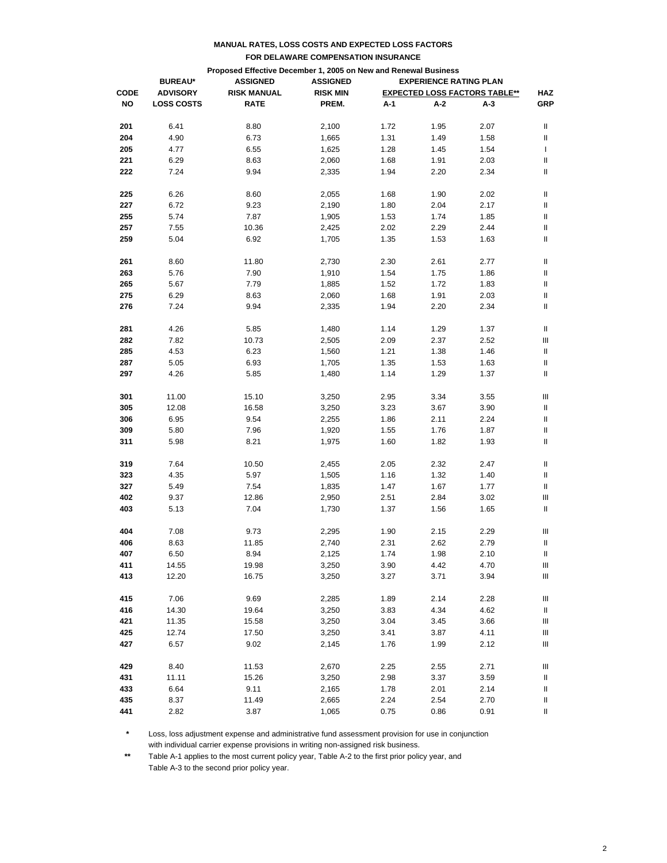|             |                   | Proposed Effective December 1, 2005 on New and Renewal Business |                 |      |                               |                                      |            |
|-------------|-------------------|-----------------------------------------------------------------|-----------------|------|-------------------------------|--------------------------------------|------------|
|             | <b>BUREAU*</b>    | <b>ASSIGNED</b>                                                 | <b>ASSIGNED</b> |      | <b>EXPERIENCE RATING PLAN</b> |                                      |            |
| <b>CODE</b> | <b>ADVISORY</b>   | <b>RISK MANUAL</b>                                              | <b>RISK MIN</b> |      |                               | <b>EXPECTED LOSS FACTORS TABLE**</b> | <b>HAZ</b> |
| <b>NO</b>   | <b>LOSS COSTS</b> | <b>RATE</b>                                                     | PREM.           | A-1  | A-2                           | A-3                                  | <b>GRP</b> |
| 201         | 6.41              | 8.80                                                            | 2,100           | 1.72 | 1.95                          | 2.07                                 | Ш          |
| 204         | 4.90              | 6.73                                                            | 1,665           | 1.31 | 1.49                          | 1.58                                 | Ш          |
| 205         | 4.77              | 6.55                                                            | 1,625           | 1.28 | 1.45                          | 1.54                                 | T          |
| 221         | 6.29              | 8.63                                                            | 2,060           | 1.68 | 1.91                          | 2.03                                 | II         |
| 222         | 7.24              | 9.94                                                            | 2,335           | 1.94 | 2.20                          | 2.34                                 | II         |
| 225         | 6.26              | 8.60                                                            | 2,055           | 1.68 | 1.90                          | 2.02                                 | Ш          |
| 227         | 6.72              | 9.23                                                            | 2,190           | 1.80 | 2.04                          | 2.17                                 | Ш          |
| 255         | 5.74              | 7.87                                                            | 1,905           | 1.53 | 1.74                          | 1.85                                 | Ш          |
| 257         | 7.55              | 10.36                                                           | 2,425           | 2.02 | 2.29                          | 2.44                                 | II         |
| 259         | 5.04              | 6.92                                                            | 1,705           | 1.35 | 1.53                          | 1.63                                 | II         |
| 261         | 8.60              | 11.80                                                           | 2,730           | 2.30 | 2.61                          | 2.77                                 | Ш          |
| 263         | 5.76              | 7.90                                                            |                 | 1.54 |                               |                                      | Ш          |
|             |                   |                                                                 | 1,910           |      | 1.75                          | 1.86                                 |            |
| 265         | 5.67              | 7.79                                                            | 1,885           | 1.52 | 1.72                          | 1.83                                 | Ш          |
| 275         | 6.29              | 8.63                                                            | 2,060           | 1.68 | 1.91                          | 2.03                                 | II         |
| 276         | 7.24              | 9.94                                                            | 2,335           | 1.94 | 2.20                          | 2.34                                 | II         |
| 281         | 4.26              | 5.85                                                            | 1,480           | 1.14 | 1.29                          | 1.37                                 | Ш          |
| 282         | 7.82              | 10.73                                                           | 2,505           | 2.09 | 2.37                          | 2.52                                 | Ш          |
| 285         | 4.53              | 6.23                                                            | 1,560           | 1.21 | 1.38                          | 1.46                                 | Ш          |
| 287         | 5.05              | 6.93                                                            | 1,705           | 1.35 | 1.53                          | 1.63                                 | Ш          |
| 297         | 4.26              | 5.85                                                            | 1,480           | 1.14 | 1.29                          | 1.37                                 | II         |
| 301         | 11.00             | 15.10                                                           | 3,250           | 2.95 | 3.34                          | 3.55                                 | Ш          |
| 305         | 12.08             | 16.58                                                           | 3,250           | 3.23 | 3.67                          | 3.90                                 | Ш          |
| 306         | 6.95              | 9.54                                                            | 2,255           | 1.86 | 2.11                          | 2.24                                 | Ш          |
| 309         | 5.80              | 7.96                                                            | 1,920           | 1.55 | 1.76                          | 1.87                                 | II         |
| 311         | 5.98              | 8.21                                                            | 1,975           | 1.60 | 1.82                          | 1.93                                 | Ш          |
| 319         | 7.64              | 10.50                                                           | 2,455           | 2.05 | 2.32                          | 2.47                                 | Ш          |
| 323         | 4.35              | 5.97                                                            | 1,505           | 1.16 | 1.32                          | 1.40                                 | Ш          |
| 327         | 5.49              | 7.54                                                            | 1,835           | 1.47 | 1.67                          | 1.77                                 | Ш          |
| 402         | 9.37              | 12.86                                                           | 2,950           | 2.51 | 2.84                          | 3.02                                 | Ш          |
| 403         | 5.13              | 7.04                                                            | 1,730           | 1.37 | 1.56                          | 1.65                                 | II         |
|             |                   |                                                                 |                 |      |                               |                                      |            |
| 404         | 7.08              | 9.73                                                            | 2,295           | 1.90 | 2.15                          | 2.29                                 | Ш          |
| 406         | 8.63              | 11.85                                                           | 2,740           | 2.31 | 2.62                          | 2.79                                 | Ш          |
| 407         | 6.50              | 8.94                                                            | 2,125           | 1.74 | 1.98                          | 2.10                                 | Ш.         |
| 411         | 14.55             | 19.98                                                           | 3,250           | 3.90 | 4.42                          | 4.70                                 | Ш          |
| 413         | 12.20             | 16.75                                                           | 3,250           | 3.27 | 3.71                          | 3.94                                 | Ⅲ.         |
| 415         | 7.06              | 9.69                                                            | 2,285           | 1.89 | 2.14                          | 2.28                                 | Ш          |
| 416         | 14.30             | 19.64                                                           | 3,250           | 3.83 | 4.34                          | 4.62                                 | Ш          |
| 421         | 11.35             | 15.58                                                           | 3,250           | 3.04 | 3.45                          | 3.66                                 | Ш          |
| 425         | 12.74             | 17.50                                                           | 3,250           | 3.41 | 3.87                          | 4.11                                 | Ш          |
| 427         | 6.57              | 9.02                                                            | 2,145           | 1.76 | 1.99                          | 2.12                                 | Ш          |
| 429         | 8.40              | 11.53                                                           | 2,670           | 2.25 | 2.55                          | 2.71                                 | Ш          |
| 431         | 11.11             | 15.26                                                           | 3,250           | 2.98 | 3.37                          | 3.59                                 | Ш          |
| 433         | 6.64              | 9.11                                                            | 2,165           | 1.78 | 2.01                          | 2.14                                 | Ш          |
| 435         | 8.37              | 11.49                                                           | 2,665           | 2.24 | 2.54                          | 2.70                                 | Ш          |
| 441         | 2.82              | 3.87                                                            | 1,065           | 0.75 | 0.86                          | 0.91                                 | Ш.         |
|             |                   |                                                                 |                 |      |                               |                                      |            |

**\*** Loss, loss adjustment expense and administrative fund assessment provision for use in conjunction with individual carrier expense provisions in writing non-assigned risk business.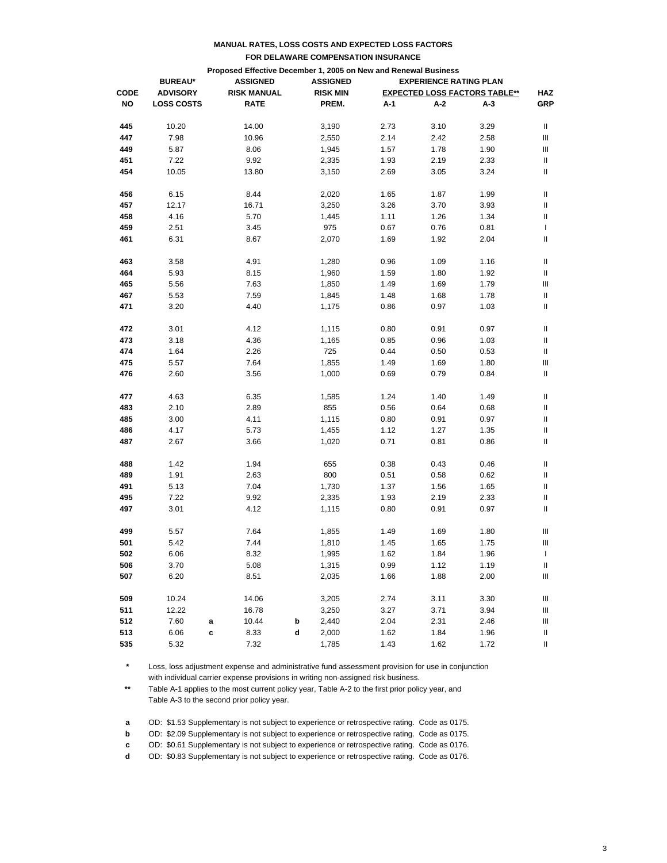|             |                   | Proposed Effective December 1, 2005 on New and Renewal Business |                 |                               |                                      |      |      |                   |  |  |
|-------------|-------------------|-----------------------------------------------------------------|-----------------|-------------------------------|--------------------------------------|------|------|-------------------|--|--|
| <b>CODE</b> | <b>BUREAU*</b>    |                                                                 | <b>ASSIGNED</b> | <b>EXPERIENCE RATING PLAN</b> |                                      |      |      |                   |  |  |
|             | <b>ADVISORY</b>   | <b>RISK MANUAL</b>                                              |                 | <b>RISK MIN</b>               | <b>EXPECTED LOSS FACTORS TABLE**</b> |      |      |                   |  |  |
| <b>NO</b>   | <b>LOSS COSTS</b> | <b>RATE</b>                                                     |                 | PREM.                         | A-1                                  | A-2  | A-3  | <b>HAZ</b><br>GRP |  |  |
| 445         | 10.20             | 14.00                                                           |                 | 3,190                         | 2.73                                 | 3.10 | 3.29 | Ш                 |  |  |
| 447         | 7.98              | 10.96                                                           |                 | 2,550                         | 2.14                                 | 2.42 | 2.58 | Ш                 |  |  |
| 449         | 5.87              | 8.06                                                            |                 | 1,945                         | 1.57                                 | 1.78 | 1.90 | Ш                 |  |  |
| 451         | 7.22              | 9.92                                                            |                 | 2,335                         | 1.93                                 | 2.19 | 2.33 | Ш                 |  |  |
| 454         | 10.05             | 13.80                                                           |                 | 3,150                         | 2.69                                 | 3.05 | 3.24 | Ш                 |  |  |
| 456         | 6.15              | 8.44                                                            |                 | 2,020                         | 1.65                                 | 1.87 | 1.99 | Ш                 |  |  |
| 457         | 12.17             | 16.71                                                           |                 | 3,250                         | 3.26                                 | 3.70 | 3.93 | Ш                 |  |  |
| 458         | 4.16              | 5.70                                                            |                 | 1,445                         | 1.11                                 | 1.26 | 1.34 | II                |  |  |
| 459         | 2.51              | 3.45                                                            |                 | 975                           | 0.67                                 | 0.76 | 0.81 | T                 |  |  |
| 461         | 6.31              | 8.67                                                            |                 | 2,070                         | 1.69                                 | 1.92 | 2.04 | Ш                 |  |  |
| 463         | 3.58              | 4.91                                                            |                 | 1,280                         | 0.96                                 | 1.09 | 1.16 | Ш                 |  |  |
| 464         | 5.93              | 8.15                                                            |                 | 1,960                         | 1.59                                 | 1.80 | 1.92 | Ш                 |  |  |
| 465         | 5.56              | 7.63                                                            |                 | 1,850                         | 1.49                                 | 1.69 | 1.79 | Ш                 |  |  |
| 467         | 5.53              | 7.59                                                            |                 | 1,845                         | 1.48                                 | 1.68 | 1.78 | Ш                 |  |  |
| 471         | 3.20              | 4.40                                                            |                 | 1,175                         | 0.86                                 | 0.97 | 1.03 | Ш                 |  |  |
| 472         | 3.01              | 4.12                                                            |                 | 1,115                         | 0.80                                 | 0.91 | 0.97 | Ш                 |  |  |
| 473         | 3.18              | 4.36                                                            |                 | 1,165                         | 0.85                                 | 0.96 | 1.03 | Ш                 |  |  |
| 474         | 1.64              | 2.26                                                            |                 | 725                           | 0.44                                 | 0.50 | 0.53 | Ш                 |  |  |
| 475         | 5.57              | 7.64                                                            |                 | 1,855                         | 1.49                                 | 1.69 | 1.80 | Ш                 |  |  |
| 476         | 2.60              | 3.56                                                            |                 | 1,000                         | 0.69                                 | 0.79 | 0.84 | Ш                 |  |  |
| 477         | 4.63              | 6.35                                                            |                 | 1,585                         | 1.24                                 | 1.40 | 1.49 | Ш                 |  |  |
| 483         | 2.10              | 2.89                                                            |                 | 855                           | 0.56                                 | 0.64 | 0.68 | Ш                 |  |  |
| 485         | 3.00              | 4.11                                                            |                 | 1,115                         | 0.80                                 | 0.91 | 0.97 | II                |  |  |
| 486         | 4.17              | 5.73                                                            |                 | 1,455                         | 1.12                                 | 1.27 | 1.35 | II                |  |  |
| 487         | 2.67              | 3.66                                                            |                 | 1,020                         | 0.71                                 | 0.81 | 0.86 | Ш                 |  |  |
| 488         | 1.42              | 1.94                                                            |                 | 655                           | 0.38                                 | 0.43 | 0.46 | Ш                 |  |  |
| 489         | 1.91              | 2.63                                                            |                 | 800                           | 0.51                                 | 0.58 | 0.62 | Ш                 |  |  |
| 491         | 5.13              | 7.04                                                            |                 | 1,730                         | 1.37                                 | 1.56 | 1.65 | Ш                 |  |  |
| 495         | 7.22              | 9.92                                                            |                 | 2,335                         | 1.93                                 | 2.19 | 2.33 | Ш                 |  |  |
| 497         | 3.01              | 4.12                                                            |                 | 1,115                         | 0.80                                 | 0.91 | 0.97 | Ш                 |  |  |
| 499         | 5.57              | 7.64                                                            |                 | 1,855                         | 1.49                                 | 1.69 | 1.80 | Ш                 |  |  |
| 501         | 5.42              | 7.44                                                            |                 | 1,810                         | 1.45                                 | 1.65 | 1.75 | Ш                 |  |  |
| 502         | 6.06              | 8.32                                                            |                 | 1,995                         | 1.62                                 | 1.84 | 1.96 | $\mathbf{L}$      |  |  |
| 506         | 3.70              | 5.08                                                            |                 | 1,315                         | 0.99                                 | 1.12 | 1.19 | Ш                 |  |  |
| 507         | 6.20              | 8.51                                                            |                 | 2,035                         | 1.66                                 | 1.88 | 2.00 | Ш                 |  |  |
| 509         | 10.24             | 14.06                                                           |                 | 3,205                         | 2.74                                 | 3.11 | 3.30 | Ш                 |  |  |
| 511         | 12.22             | 16.78                                                           |                 | 3,250                         | 3.27                                 | 3.71 | 3.94 | Ш                 |  |  |
| 512         | 7.60              | 10.44<br>a                                                      | b               | 2,440                         | 2.04                                 | 2.31 | 2.46 | Ш                 |  |  |
| 513         | 6.06              | 8.33<br>c                                                       | d               | 2,000                         | 1.62                                 | 1.84 | 1.96 | Ш                 |  |  |
| 535         | 5.32              | 7.32                                                            |                 | 1,785                         | 1.43                                 | 1.62 | 1.72 | Ш.                |  |  |

**\*** Loss, loss adjustment expense and administrative fund assessment provision for use in conjunction with individual carrier expense provisions in writing non-assigned risk business.

**\*\*** Table A-1 applies to the most current policy year, Table A-2 to the first prior policy year, and Table A-3 to the second prior policy year.

**a** OD: \$1.53 Supplementary is not subject to experience or retrospective rating. Code as 0175.

**b** OD: \$2.09 Supplementary is not subject to experience or retrospective rating. Code as 0175.

**c** OD: \$0.61 Supplementary is not subject to experience or retrospective rating. Code as 0176.

**d** OD: \$0.83 Supplementary is not subject to experience or retrospective rating. Code as 0176.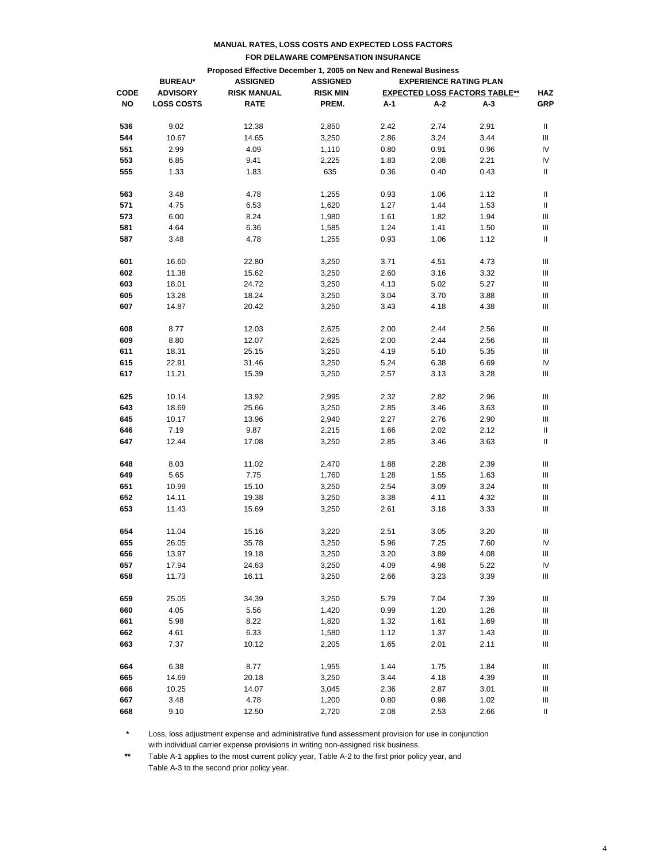|             | Proposed Effective December 1, 2005 on New and Renewal Business |                    |                 |      |                               |                                      |                                    |  |
|-------------|-----------------------------------------------------------------|--------------------|-----------------|------|-------------------------------|--------------------------------------|------------------------------------|--|
|             | <b>BUREAU*</b>                                                  | <b>ASSIGNED</b>    | <b>ASSIGNED</b> |      | <b>EXPERIENCE RATING PLAN</b> |                                      |                                    |  |
| <b>CODE</b> | <b>ADVISORY</b>                                                 | <b>RISK MANUAL</b> | <b>RISK MIN</b> |      |                               | <b>EXPECTED LOSS FACTORS TABLE**</b> | <b>HAZ</b>                         |  |
| NO          | <b>LOSS COSTS</b>                                               | <b>RATE</b>        | PREM.           | A-1  | A-2                           | A-3                                  | GRP                                |  |
| 536         | 9.02                                                            | 12.38              | 2,850           | 2.42 | 2.74                          | 2.91                                 | Ш                                  |  |
| 544         | 10.67                                                           | 14.65              | 3,250           | 2.86 | 3.24                          | 3.44                                 | Ш                                  |  |
| 551         | 2.99                                                            | 4.09               | 1,110           | 0.80 | 0.91                          | 0.96                                 | IV                                 |  |
| 553         | 6.85                                                            | 9.41               | 2,225           | 1.83 | 2.08                          | 2.21                                 | IV                                 |  |
| 555         | 1.33                                                            | 1.83               | 635             | 0.36 | 0.40                          | 0.43                                 | Ш                                  |  |
| 563         | 3.48                                                            | 4.78               | 1,255           | 0.93 | 1.06                          | 1.12                                 | Ш                                  |  |
| 571         | 4.75                                                            | 6.53               | 1,620           | 1.27 | 1.44                          | 1.53                                 | Ш                                  |  |
| 573         | 6.00                                                            | 8.24               | 1,980           | 1.61 | 1.82                          | 1.94                                 | Ш                                  |  |
| 581         | 4.64                                                            | 6.36               | 1,585           | 1.24 | 1.41                          | 1.50                                 | Ш                                  |  |
| 587         | 3.48                                                            | 4.78               | 1,255           | 0.93 | 1.06                          | 1.12                                 | Ш                                  |  |
|             |                                                                 |                    |                 |      |                               |                                      |                                    |  |
| 601         | 16.60                                                           | 22.80              | 3,250           | 3.71 | 4.51                          | 4.73                                 | Ш                                  |  |
| 602         | 11.38                                                           | 15.62              | 3,250           | 2.60 | 3.16                          | 3.32                                 | Ш                                  |  |
| 603         | 18.01                                                           | 24.72              | 3,250           | 4.13 | 5.02                          | 5.27                                 | Ш                                  |  |
| 605         | 13.28                                                           | 18.24              | 3,250           | 3.04 | 3.70                          | 3.88                                 | Ш                                  |  |
| 607         | 14.87                                                           | 20.42              | 3,250           | 3.43 | 4.18                          | 4.38                                 | Ш                                  |  |
| 608         | 8.77                                                            | 12.03              | 2,625           | 2.00 | 2.44                          | 2.56                                 | Ш                                  |  |
| 609         | 8.80                                                            | 12.07              | 2,625           | 2.00 | 2.44                          | 2.56                                 | Ш                                  |  |
| 611         | 18.31                                                           | 25.15              | 3,250           | 4.19 | 5.10                          | 5.35                                 | Ш                                  |  |
| 615         | 22.91                                                           | 31.46              | 3,250           | 5.24 | 6.38                          | 6.69                                 | IV                                 |  |
| 617         | 11.21                                                           | 15.39              | 3,250           | 2.57 | 3.13                          | 3.28                                 | Ш                                  |  |
|             |                                                                 |                    |                 |      |                               |                                      |                                    |  |
| 625         | 10.14                                                           | 13.92              | 2,995           | 2.32 | 2.82                          | 2.96                                 | Ш                                  |  |
| 643         | 18.69                                                           | 25.66              | 3,250           | 2.85 | 3.46                          | 3.63                                 | Ш                                  |  |
| 645         | 10.17                                                           | 13.96              | 2,940           | 2.27 | 2.76                          | 2.90                                 | Ш                                  |  |
| 646         | 7.19                                                            | 9.87               | 2,215           | 1.66 | 2.02                          | 2.12                                 | Ш                                  |  |
| 647         | 12.44                                                           | 17.08              | 3,250           | 2.85 | 3.46                          | 3.63                                 | Ш                                  |  |
| 648         | 8.03                                                            | 11.02              | 2,470           | 1.88 | 2.28                          | 2.39                                 | Ш                                  |  |
| 649         | 5.65                                                            | 7.75               | 1,760           | 1.28 | 1.55                          | 1.63                                 | Ш                                  |  |
| 651         | 10.99                                                           | 15.10              | 3,250           | 2.54 | 3.09                          | 3.24                                 | Ш                                  |  |
| 652         | 14.11                                                           | 19.38              | 3,250           | 3.38 | 4.11                          | 4.32                                 | Ш                                  |  |
| 653         | 11.43                                                           | 15.69              | 3,250           | 2.61 | 3.18                          | 3.33                                 | Ш                                  |  |
|             |                                                                 |                    |                 |      |                               |                                      |                                    |  |
| 654         | 11.04                                                           | 15.16              | 3,220           | 2.51 | 3.05                          | 3.20                                 | Ш                                  |  |
| 655         | 26.05                                                           | 35.78              | 3,250           | 5.96 | 7.25                          | 7.60                                 | IV                                 |  |
| 656         | 13.97                                                           | 19.18              | 3,250           | 3.20 | 3.89                          | 4.08                                 | $\ensuremath{\mathsf{III}}\xspace$ |  |
| 657         | 17.94                                                           | 24.63              | 3,250           | 4.09 | 4.98                          | 5.22                                 | IV                                 |  |
| 658         | 11.73                                                           | 16.11              | 3,250           | 2.66 | 3.23                          | 3.39                                 | Ш                                  |  |
| 659         | 25.05                                                           | 34.39              | 3,250           | 5.79 | 7.04                          | 7.39                                 | Ш                                  |  |
| 660         | 4.05                                                            | 5.56               | 1,420           | 0.99 | 1.20                          | 1.26                                 | Ш                                  |  |
| 661         | 5.98                                                            | 8.22               | 1,820           | 1.32 | 1.61                          | 1.69                                 | Ш                                  |  |
| 662         | 4.61                                                            | 6.33               | 1,580           | 1.12 | 1.37                          | 1.43                                 | Ш                                  |  |
| 663         | 7.37                                                            | 10.12              | 2,205           | 1.65 | 2.01                          | 2.11                                 | Ш                                  |  |
| 664         | 6.38                                                            | 8.77               | 1,955           | 1.44 | 1.75                          | 1.84                                 | Ш                                  |  |
| 665         | 14.69                                                           | 20.18              | 3,250           | 3.44 | 4.18                          | 4.39                                 | Ш                                  |  |
| 666         | 10.25                                                           | 14.07              | 3,045           | 2.36 | 2.87                          | 3.01                                 | Ш                                  |  |
|             |                                                                 |                    |                 |      |                               |                                      |                                    |  |
| 667         | 3.48                                                            | 4.78               | 1,200           | 0.80 | 0.98                          | 1.02                                 | Ⅲ.                                 |  |
| 668         | 9.10                                                            | 12.50              | 2,720           | 2.08 | 2.53                          | 2.66                                 | Ш                                  |  |

**\*** Loss, loss adjustment expense and administrative fund assessment provision for use in conjunction with individual carrier expense provisions in writing non-assigned risk business.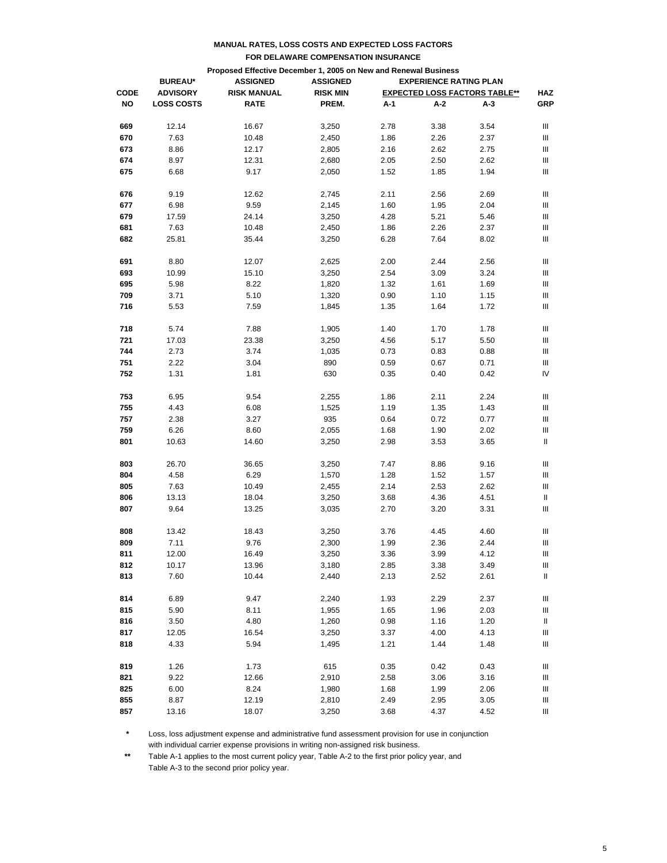|             |                   | Proposed Effective December 1, 2005 on New and Renewal Business |                 |                               |      |                                      |            |
|-------------|-------------------|-----------------------------------------------------------------|-----------------|-------------------------------|------|--------------------------------------|------------|
|             | <b>BUREAU*</b>    | <b>ASSIGNED</b>                                                 | <b>ASSIGNED</b> | <b>EXPERIENCE RATING PLAN</b> |      |                                      |            |
| <b>CODE</b> | <b>ADVISORY</b>   | <b>RISK MANUAL</b>                                              | <b>RISK MIN</b> |                               |      | <b>EXPECTED LOSS FACTORS TABLE**</b> | <b>HAZ</b> |
| NO          | <b>LOSS COSTS</b> | <b>RATE</b>                                                     | PREM.           | A-1                           | A-2  | A-3                                  | GRP        |
|             |                   |                                                                 |                 |                               |      |                                      |            |
| 669         | 12.14             | 16.67                                                           | 3,250           | 2.78                          | 3.38 | 3.54                                 | Ш          |
| 670         | 7.63              | 10.48                                                           | 2,450           | 1.86                          | 2.26 | 2.37                                 | Ш          |
| 673         | 8.86              | 12.17                                                           | 2,805           | 2.16                          | 2.62 | 2.75                                 | Ш          |
| 674         | 8.97              | 12.31                                                           | 2,680           | 2.05                          | 2.50 | 2.62                                 | Ш          |
| 675         | 6.68              | 9.17                                                            | 2,050           | 1.52                          | 1.85 | 1.94                                 | Ш          |
| 676         | 9.19              | 12.62                                                           | 2,745           | 2.11                          | 2.56 | 2.69                                 | Ш          |
| 677         | 6.98              | 9.59                                                            | 2,145           | 1.60                          | 1.95 | 2.04                                 | Ш          |
| 679         | 17.59             | 24.14                                                           | 3,250           | 4.28                          | 5.21 | 5.46                                 | Ш          |
| 681         | 7.63              | 10.48                                                           | 2,450           | 1.86                          | 2.26 | 2.37                                 | Ш          |
| 682         | 25.81             | 35.44                                                           | 3,250           | 6.28                          | 7.64 | 8.02                                 | Ш          |
|             |                   |                                                                 |                 |                               |      |                                      |            |
| 691         | 8.80              | 12.07                                                           | 2,625           | 2.00                          | 2.44 | 2.56                                 | Ш          |
| 693         | 10.99             | 15.10                                                           | 3,250           | 2.54                          | 3.09 | 3.24                                 | Ш          |
| 695         | 5.98              | 8.22                                                            | 1,820           | 1.32                          | 1.61 | 1.69                                 | Ш          |
| 709         | 3.71              | 5.10                                                            | 1,320           | 0.90                          | 1.10 | 1.15                                 | Ш          |
| 716         | 5.53              | 7.59                                                            | 1,845           | 1.35                          | 1.64 | 1.72                                 | Ш          |
| 718         | 5.74              | 7.88                                                            | 1,905           | 1.40                          | 1.70 | 1.78                                 | Ш          |
| 721         | 17.03             | 23.38                                                           | 3,250           | 4.56                          | 5.17 | 5.50                                 | Ш          |
| 744         | 2.73              | 3.74                                                            | 1,035           | 0.73                          | 0.83 | 0.88                                 | Ш          |
| 751         | 2.22              | 3.04                                                            | 890             | 0.59                          | 0.67 | 0.71                                 | Ш          |
| 752         | 1.31              | 1.81                                                            | 630             | 0.35                          | 0.40 | 0.42                                 | IV         |
|             |                   |                                                                 |                 |                               |      |                                      |            |
| 753         | 6.95              | 9.54                                                            | 2,255           | 1.86                          | 2.11 | 2.24                                 | Ш          |
| 755         | 4.43              | 6.08                                                            | 1,525           | 1.19                          | 1.35 | 1.43                                 | Ш          |
| 757         | 2.38              | 3.27                                                            | 935             | 0.64                          | 0.72 | 0.77                                 | Ш          |
| 759         | 6.26              | 8.60                                                            | 2,055           | 1.68                          | 1.90 | 2.02                                 | Ш          |
| 801         | 10.63             | 14.60                                                           | 3,250           | 2.98                          | 3.53 | 3.65                                 | Ш          |
| 803         | 26.70             | 36.65                                                           | 3,250           | 7.47                          | 8.86 | 9.16                                 | Ш          |
| 804         | 4.58              | 6.29                                                            | 1,570           | 1.28                          | 1.52 | 1.57                                 | Ш          |
| 805         | 7.63              | 10.49                                                           | 2,455           | 2.14                          | 2.53 | 2.62                                 | Ш          |
| 806         | 13.13             | 18.04                                                           | 3,250           | 3.68                          | 4.36 | 4.51                                 | Ш          |
| 807         | 9.64              | 13.25                                                           | 3,035           | 2.70                          | 3.20 | 3.31                                 | Ш          |
|             |                   |                                                                 |                 |                               |      |                                      |            |
| 808         | 13.42             | 18.43                                                           | 3,250           | 3.76                          | 4.45 | 4.60                                 | Ш          |
| 809         | 7.11              | 9.76                                                            | 2,300           | 1.99                          | 2.36 | 2.44                                 | Ш          |
| 811         | 12.00             | 16.49                                                           | 3,250           | 3.36                          | 3.99 | 4.12                                 | Ш          |
| 812         | 10.17             | 13.96                                                           | 3,180           | 2.85                          | 3.38 | 3.49                                 | Ш          |
| 813         | 7.60              | 10.44                                                           | 2,440           | 2.13                          | 2.52 | 2.61                                 | Ш.         |
| 814         | 6.89              | 9.47                                                            | 2,240           | 1.93                          | 2.29 | 2.37                                 | Ш          |
| 815         | 5.90              | 8.11                                                            | 1,955           | 1.65                          | 1.96 | 2.03                                 | Ш          |
| 816         | 3.50              | 4.80                                                            | 1,260           | 0.98                          | 1.16 | 1.20                                 | Ш          |
| 817         | 12.05             | 16.54                                                           | 3,250           | 3.37                          | 4.00 | 4.13                                 | Ш          |
| 818         | 4.33              | 5.94                                                            | 1,495           | 1.21                          | 1.44 | 1.48                                 | Ш          |
| 819         | 1.26              | 1.73                                                            | 615             | 0.35                          | 0.42 | 0.43                                 |            |
|             |                   |                                                                 |                 |                               |      |                                      | Ш          |
| 821         | 9.22              | 12.66                                                           | 2,910           | 2.58                          | 3.06 | 3.16                                 | Ш          |
| 825         | 6.00              | 8.24                                                            | 1,980           | 1.68                          | 1.99 | 2.06                                 | Ш          |
| 855         | 8.87              | 12.19                                                           | 2,810           | 2.49                          | 2.95 | 3.05                                 | Ш          |
| 857         | 13.16             | 18.07                                                           | 3,250           | 3.68                          | 4.37 | 4.52                                 | Ш          |

**\*** Loss, loss adjustment expense and administrative fund assessment provision for use in conjunction with individual carrier expense provisions in writing non-assigned risk business.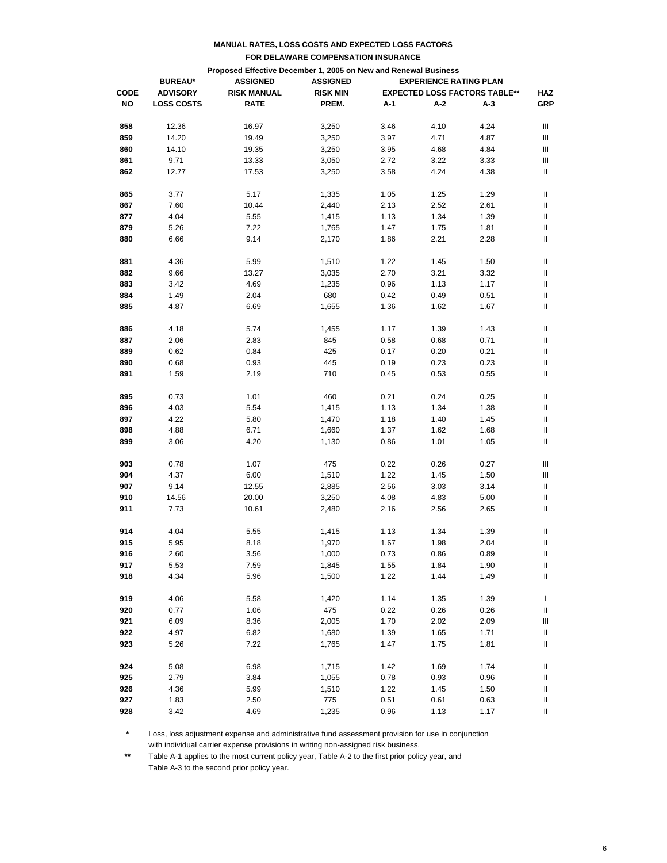|             | Proposed Effective December 1, 2005 on New and Renewal Business<br><b>ASSIGNED</b><br><b>EXPERIENCE RATING PLAN</b><br><b>BUREAU*</b><br><b>ASSIGNED</b> |                    |                 |      |      |                                      |            |
|-------------|----------------------------------------------------------------------------------------------------------------------------------------------------------|--------------------|-----------------|------|------|--------------------------------------|------------|
| <b>CODE</b> | <b>ADVISORY</b>                                                                                                                                          | <b>RISK MANUAL</b> | <b>RISK MIN</b> |      |      | <b>EXPECTED LOSS FACTORS TABLE**</b> | <b>HAZ</b> |
| NO          | <b>LOSS COSTS</b>                                                                                                                                        | <b>RATE</b>        | PREM.           | A-1  | A-2  | A-3                                  | <b>GRP</b> |
|             |                                                                                                                                                          |                    |                 |      |      |                                      |            |
| 858         | 12.36                                                                                                                                                    | 16.97              | 3,250           | 3.46 | 4.10 | 4.24                                 | Ш          |
| 859         | 14.20                                                                                                                                                    | 19.49              | 3,250           | 3.97 | 4.71 | 4.87                                 | Ш          |
| 860         | 14.10                                                                                                                                                    | 19.35              | 3,250           | 3.95 | 4.68 | 4.84                                 | Ш          |
| 861         | 9.71                                                                                                                                                     | 13.33              | 3,050           | 2.72 | 3.22 | 3.33                                 | Ш          |
| 862         | 12.77                                                                                                                                                    | 17.53              | 3,250           | 3.58 | 4.24 | 4.38                                 | Ш          |
|             |                                                                                                                                                          |                    |                 |      |      |                                      |            |
| 865         | 3.77                                                                                                                                                     | 5.17               | 1,335           | 1.05 | 1.25 | 1.29                                 | Ш          |
| 867         | 7.60                                                                                                                                                     | 10.44              | 2,440           | 2.13 | 2.52 | 2.61                                 | Ш          |
| 877         | 4.04                                                                                                                                                     | 5.55               | 1,415           | 1.13 | 1.34 | 1.39                                 | Ш          |
| 879         | 5.26                                                                                                                                                     | 7.22               | 1,765           | 1.47 | 1.75 | 1.81                                 | Ш          |
| 880         | 6.66                                                                                                                                                     | 9.14               | 2,170           | 1.86 | 2.21 | 2.28                                 | Ш          |
| 881         | 4.36                                                                                                                                                     | 5.99               | 1,510           | 1.22 | 1.45 | 1.50                                 | Ш          |
| 882         | 9.66                                                                                                                                                     | 13.27              | 3,035           | 2.70 | 3.21 | 3.32                                 | Ш          |
|             |                                                                                                                                                          |                    |                 |      |      |                                      |            |
| 883         | 3.42                                                                                                                                                     | 4.69               | 1,235           | 0.96 | 1.13 | 1.17                                 | Ш          |
| 884         | 1.49                                                                                                                                                     | 2.04               | 680             | 0.42 | 0.49 | 0.51                                 | II         |
| 885         | 4.87                                                                                                                                                     | 6.69               | 1,655           | 1.36 | 1.62 | 1.67                                 | II         |
| 886         | 4.18                                                                                                                                                     | 5.74               | 1,455           | 1.17 | 1.39 | 1.43                                 | Ш          |
| 887         | 2.06                                                                                                                                                     | 2.83               | 845             | 0.58 | 0.68 | 0.71                                 | Ш          |
| 889         | 0.62                                                                                                                                                     | 0.84               | 425             | 0.17 | 0.20 | 0.21                                 | II         |
| 890         | 0.68                                                                                                                                                     | 0.93               | 445             | 0.19 | 0.23 | 0.23                                 | II         |
| 891         | 1.59                                                                                                                                                     | 2.19               | 710             |      |      | 0.55                                 | II         |
|             |                                                                                                                                                          |                    |                 | 0.45 | 0.53 |                                      |            |
| 895         | 0.73                                                                                                                                                     | 1.01               | 460             | 0.21 | 0.24 | 0.25                                 | Ш          |
| 896         | 4.03                                                                                                                                                     | 5.54               | 1,415           | 1.13 | 1.34 | 1.38                                 | Ш          |
| 897         | 4.22                                                                                                                                                     | 5.80               | 1,470           | 1.18 | 1.40 | 1.45                                 | Ш          |
| 898         | 4.88                                                                                                                                                     | 6.71               | 1,660           | 1.37 | 1.62 | 1.68                                 | II         |
| 899         | 3.06                                                                                                                                                     | 4.20               | 1,130           | 0.86 | 1.01 | 1.05                                 | Ш          |
|             |                                                                                                                                                          |                    |                 |      |      |                                      |            |
| 903         | 0.78                                                                                                                                                     | 1.07               | 475             | 0.22 | 0.26 | 0.27                                 | Ш          |
| 904         | 4.37                                                                                                                                                     | 6.00               | 1,510           | 1.22 | 1.45 | 1.50                                 | Ш          |
| 907         | 9.14                                                                                                                                                     | 12.55              | 2,885           | 2.56 | 3.03 | 3.14                                 | Ш          |
| 910         | 14.56                                                                                                                                                    | 20.00              | 3,250           | 4.08 | 4.83 | 5.00                                 | Ш          |
| 911         | 7.73                                                                                                                                                     | 10.61              | 2,480           | 2.16 | 2.56 | 2.65                                 | II         |
| 914         | 4.04                                                                                                                                                     | 5.55               | 1,415           | 1.13 | 1.34 | 1.39                                 | Ш          |
| 915         | 5.95                                                                                                                                                     | 8.18               | 1,970           | 1.67 | 1.98 | 2.04                                 | Ш          |
|             |                                                                                                                                                          |                    |                 |      |      |                                      |            |
| 916         | 2.60                                                                                                                                                     | 3.56               | 1,000           | 0.73 | 0.86 | 0.89                                 | $\sf II$   |
| 917         | 5.53                                                                                                                                                     | 7.59               | 1,845           | 1.55 | 1.84 | 1.90                                 | Ш          |
| 918         | 4.34                                                                                                                                                     | 5.96               | 1,500           | 1.22 | 1.44 | 1.49                                 | Ш          |
| 919         | 4.06                                                                                                                                                     | 5.58               | 1,420           | 1.14 | 1.35 | 1.39                                 | L          |
| 920         | 0.77                                                                                                                                                     | 1.06               | 475             | 0.22 | 0.26 | 0.26                                 | Ш          |
| 921         | 6.09                                                                                                                                                     | 8.36               | 2,005           | 1.70 | 2.02 | 2.09                                 | Ш          |
| 922         | 4.97                                                                                                                                                     | 6.82               | 1,680           | 1.39 | 1.65 | 1.71                                 | Ш          |
| 923         | 5.26                                                                                                                                                     | 7.22               | 1,765           | 1.47 | 1.75 | 1.81                                 | Ш          |
|             |                                                                                                                                                          |                    |                 |      |      |                                      |            |
| 924         | 5.08                                                                                                                                                     | 6.98               | 1,715           | 1.42 | 1.69 | 1.74                                 | Ш          |
| 925         | 2.79                                                                                                                                                     | 3.84               | 1,055           | 0.78 | 0.93 | 0.96                                 | Ш          |
| 926         | 4.36                                                                                                                                                     | 5.99               | 1,510           | 1.22 | 1.45 | 1.50                                 | Ш          |
| 927         | 1.83                                                                                                                                                     | 2.50               | 775             | 0.51 | 0.61 | 0.63                                 | Ш          |
| 928         | 3.42                                                                                                                                                     | 4.69               | 1,235           | 0.96 | 1.13 | 1.17                                 | Ш          |

**\*** Loss, loss adjustment expense and administrative fund assessment provision for use in conjunction with individual carrier expense provisions in writing non-assigned risk business.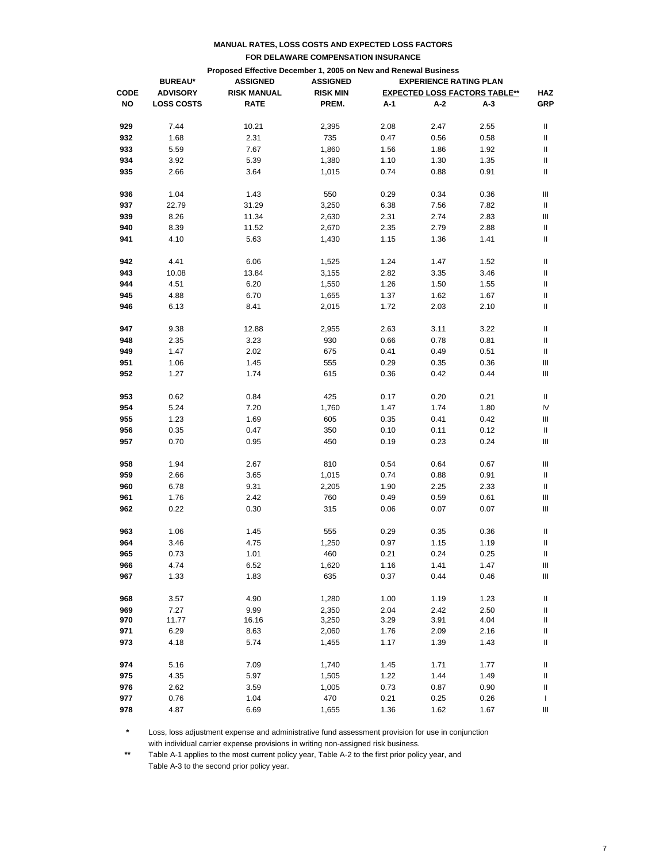|             |                                                                                       | Proposed Effective December 1, 2005 on New and Renewal Business |                 |      |      |                                      |                            |
|-------------|---------------------------------------------------------------------------------------|-----------------------------------------------------------------|-----------------|------|------|--------------------------------------|----------------------------|
|             | <b>ASSIGNED</b><br><b>ASSIGNED</b><br><b>EXPERIENCE RATING PLAN</b><br><b>BUREAU*</b> |                                                                 |                 |      |      |                                      |                            |
| <b>CODE</b> | <b>ADVISORY</b>                                                                       | <b>RISK MANUAL</b>                                              | <b>RISK MIN</b> |      |      | <b>EXPECTED LOSS FACTORS TABLE**</b> | <b>HAZ</b>                 |
| NO          | <b>LOSS COSTS</b>                                                                     | <b>RATE</b>                                                     | PREM.           | A-1  | A-2  | A-3                                  | <b>GRP</b>                 |
|             |                                                                                       |                                                                 |                 |      |      |                                      |                            |
| 929         | 7.44                                                                                  | 10.21                                                           | 2,395           | 2.08 | 2.47 | 2.55                                 | Ш                          |
| 932         | 1.68                                                                                  | 2.31                                                            | 735             | 0.47 | 0.56 | 0.58                                 | Ш                          |
| 933         | 5.59                                                                                  | 7.67                                                            | 1,860           | 1.56 | 1.86 | 1.92                                 | Ш                          |
| 934         | 3.92                                                                                  | 5.39                                                            | 1,380           | 1.10 | 1.30 | 1.35                                 | II                         |
| 935         | 2.66                                                                                  | 3.64                                                            | 1,015           | 0.74 | 0.88 | 0.91                                 | II                         |
|             |                                                                                       |                                                                 |                 |      |      |                                      |                            |
| 936         | 1.04                                                                                  | 1.43                                                            | 550             | 0.29 | 0.34 | 0.36                                 | Ш                          |
| 937         | 22.79                                                                                 | 31.29                                                           | 3,250           | 6.38 | 7.56 | 7.82                                 | Ш                          |
| 939         | 8.26                                                                                  | 11.34                                                           | 2,630           | 2.31 | 2.74 | 2.83                                 | Ш                          |
| 940         | 8.39                                                                                  | 11.52                                                           | 2,670           | 2.35 | 2.79 | 2.88                                 | Ш                          |
| 941         | 4.10                                                                                  | 5.63                                                            | 1,430           | 1.15 | 1.36 | 1.41                                 | Ш                          |
| 942         | 4.41                                                                                  | 6.06                                                            | 1,525           | 1.24 | 1.47 | 1.52                                 | Ш                          |
| 943         | 10.08                                                                                 | 13.84                                                           | 3,155           | 2.82 | 3.35 | 3.46                                 | Ш                          |
| 944         | 4.51                                                                                  | 6.20                                                            | 1,550           | 1.26 | 1.50 | 1.55                                 | Ш                          |
| 945         | 4.88                                                                                  | 6.70                                                            | 1,655           | 1.37 | 1.62 | 1.67                                 | II                         |
|             |                                                                                       |                                                                 |                 |      |      |                                      |                            |
| 946         | 6.13                                                                                  | 8.41                                                            | 2,015           | 1.72 | 2.03 | 2.10                                 | II                         |
| 947         | 9.38                                                                                  | 12.88                                                           | 2,955           | 2.63 | 3.11 | 3.22                                 | Ш                          |
| 948         | 2.35                                                                                  | 3.23                                                            | 930             | 0.66 | 0.78 | 0.81                                 | Ш                          |
| 949         | 1.47                                                                                  | 2.02                                                            | 675             | 0.41 | 0.49 | 0.51                                 | Ш                          |
| 951         | 1.06                                                                                  | 1.45                                                            | 555             | 0.29 | 0.35 | 0.36                                 | Ш                          |
| 952         | 1.27                                                                                  | 1.74                                                            | 615             | 0.36 | 0.42 | 0.44                                 | Ш                          |
|             |                                                                                       |                                                                 |                 |      |      |                                      |                            |
| 953         | 0.62                                                                                  | 0.84                                                            | 425             | 0.17 | 0.20 | 0.21                                 | Ш                          |
| 954         | 5.24                                                                                  | 7.20                                                            | 1,760           | 1.47 | 1.74 | 1.80                                 | IV                         |
| 955         | 1.23                                                                                  | 1.69                                                            | 605             | 0.35 | 0.41 | 0.42                                 | Ш                          |
| 956         | 0.35                                                                                  | 0.47                                                            | 350             | 0.10 | 0.11 | 0.12                                 | Ш                          |
| 957         | 0.70                                                                                  | 0.95                                                            | 450             | 0.19 | 0.23 | 0.24                                 | Ш                          |
|             |                                                                                       |                                                                 |                 |      |      |                                      |                            |
| 958         | 1.94                                                                                  | 2.67                                                            | 810             | 0.54 | 0.64 | 0.67                                 | Ш                          |
| 959         | 2.66                                                                                  | 3.65                                                            | 1,015           | 0.74 | 0.88 | 0.91                                 | Ш                          |
| 960         | 6.78                                                                                  | 9.31                                                            | 2,205           | 1.90 | 2.25 | 2.33                                 | Ш                          |
| 961         | 1.76                                                                                  | 2.42                                                            | 760             | 0.49 | 0.59 | 0.61                                 | Ш                          |
| 962         | 0.22                                                                                  | 0.30                                                            | 315             | 0.06 | 0.07 | 0.07                                 | Ш                          |
|             |                                                                                       |                                                                 |                 |      |      |                                      |                            |
| 963         | 1.06                                                                                  | 1.45                                                            | 555             | 0.29 | 0.35 | 0.36                                 | Ш                          |
| 964         | 3.46                                                                                  | 4.75                                                            | 1,250           | 0.97 | 1.15 | 1.19                                 | Ш                          |
| 965         | 0.73                                                                                  | 1.01                                                            | 460             | 0.21 | 0.24 | 0.25                                 | $\ensuremath{\mathsf{II}}$ |
| 966         | 4.74                                                                                  | 6.52                                                            | 1,620           | 1.16 | 1.41 | 1.47                                 | Ш                          |
| 967         | 1.33                                                                                  | 1.83                                                            | 635             | 0.37 | 0.44 | 0.46                                 | Ш                          |
| 968         | 3.57                                                                                  | 4.90                                                            | 1,280           | 1.00 | 1.19 | 1.23                                 | Ш                          |
| 969         | 7.27                                                                                  | 9.99                                                            | 2,350           | 2.04 | 2.42 | 2.50                                 | Ш                          |
| 970         | 11.77                                                                                 | 16.16                                                           | 3,250           | 3.29 | 3.91 | 4.04                                 | Ш                          |
| 971         | 6.29                                                                                  | 8.63                                                            | 2,060           | 1.76 | 2.09 | 2.16                                 | Ш                          |
| 973         | 4.18                                                                                  | 5.74                                                            | 1,455           | 1.17 | 1.39 | 1.43                                 | Ш                          |
|             |                                                                                       |                                                                 |                 |      |      |                                      |                            |
| 974         | 5.16                                                                                  | 7.09                                                            | 1,740           | 1.45 | 1.71 | 1.77                                 | Ш                          |
| 975         | 4.35                                                                                  | 5.97                                                            | 1,505           | 1.22 | 1.44 | 1.49                                 | Ш                          |
| 976         | 2.62                                                                                  | 3.59                                                            | 1,005           | 0.73 | 0.87 | 0.90                                 | Ш                          |
| 977         | 0.76                                                                                  | 1.04                                                            | 470             | 0.21 | 0.25 | 0.26                                 | L                          |
| 978         | 4.87                                                                                  | 6.69                                                            | 1,655           | 1.36 | 1.62 | 1.67                                 | Ш                          |

**\*** Loss, loss adjustment expense and administrative fund assessment provision for use in conjunction with individual carrier expense provisions in writing non-assigned risk business.